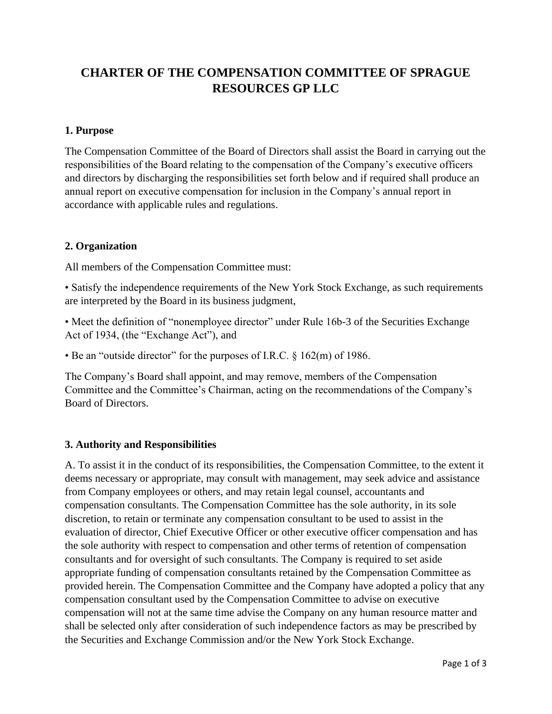# **CHARTER OF THE COMPENSATION COMMITTEE OF SPRAGUE RESOURCES GP LLC**

#### **1. Purpose**

The Compensation Committee of the Board of Directors shall assist the Board in carrying out the responsibilities of the Board relating to the compensation of the Company's executive officers and directors by discharging the responsibilities set forth below and if required shall produce an annual report on executive compensation for inclusion in the Company's annual report in accordance with applicable rules and regulations.

#### **2. Organization**

All members of the Compensation Committee must:

• Satisfy the independence requirements of the New York Stock Exchange, as such requirements are interpreted by the Board in its business judgment,

• Meet the definition of "nonemployee director" under Rule 16b-3 of the Securities Exchange Act of 1934, (the "Exchange Act"), and

• Be an "outside director" for the purposes of I.R.C. § 162(m) of 1986.

The Company's Board shall appoint, and may remove, members of the Compensation Committee and the Committee's Chairman, acting on the recommendations of the Company's Board of Directors.

## **3. Authority and Responsibilities**

A. To assist it in the conduct of its responsibilities, the Compensation Committee, to the extent it deems necessary or appropriate, may consult with management, may seek advice and assistance from Company employees or others, and may retain legal counsel, accountants and compensation consultants. The Compensation Committee has the sole authority, in its sole discretion, to retain or terminate any compensation consultant to be used to assist in the evaluation of director, Chief Executive Officer or other executive officer compensation and has the sole authority with respect to compensation and other terms of retention of compensation consultants and for oversight of such consultants. The Company is required to set aside appropriate funding of compensation consultants retained by the Compensation Committee as provided herein. The Compensation Committee and the Company have adopted a policy that any compensation consultant used by the Compensation Committee to advise on executive compensation will not at the same time advise the Company on any human resource matter and shall be selected only after consideration of such independence factors as may be prescribed by the Securities and Exchange Commission and/or the New York Stock Exchange.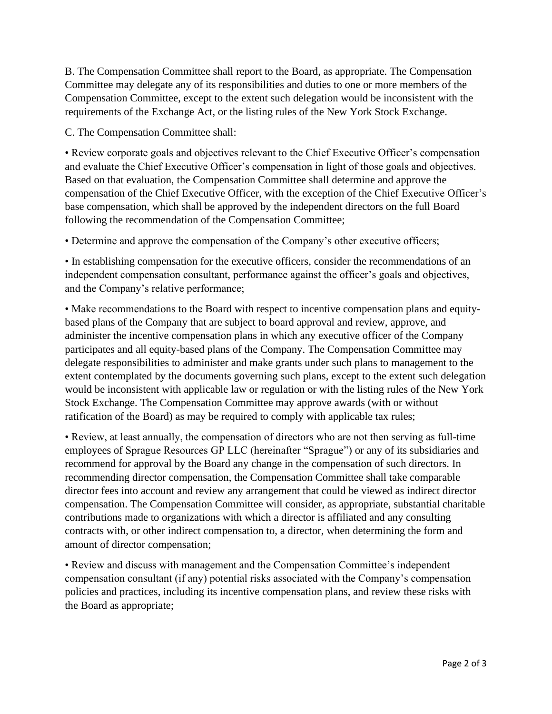B. The Compensation Committee shall report to the Board, as appropriate. The Compensation Committee may delegate any of its responsibilities and duties to one or more members of the Compensation Committee, except to the extent such delegation would be inconsistent with the requirements of the Exchange Act, or the listing rules of the New York Stock Exchange.

C. The Compensation Committee shall:

• Review corporate goals and objectives relevant to the Chief Executive Officer's compensation and evaluate the Chief Executive Officer's compensation in light of those goals and objectives. Based on that evaluation, the Compensation Committee shall determine and approve the compensation of the Chief Executive Officer, with the exception of the Chief Executive Officer's base compensation, which shall be approved by the independent directors on the full Board following the recommendation of the Compensation Committee;

• Determine and approve the compensation of the Company's other executive officers;

• In establishing compensation for the executive officers, consider the recommendations of an independent compensation consultant, performance against the officer's goals and objectives, and the Company's relative performance;

• Make recommendations to the Board with respect to incentive compensation plans and equitybased plans of the Company that are subject to board approval and review, approve, and administer the incentive compensation plans in which any executive officer of the Company participates and all equity-based plans of the Company. The Compensation Committee may delegate responsibilities to administer and make grants under such plans to management to the extent contemplated by the documents governing such plans, except to the extent such delegation would be inconsistent with applicable law or regulation or with the listing rules of the New York Stock Exchange. The Compensation Committee may approve awards (with or without ratification of the Board) as may be required to comply with applicable tax rules;

• Review, at least annually, the compensation of directors who are not then serving as full-time employees of Sprague Resources GP LLC (hereinafter "Sprague") or any of its subsidiaries and recommend for approval by the Board any change in the compensation of such directors. In recommending director compensation, the Compensation Committee shall take comparable director fees into account and review any arrangement that could be viewed as indirect director compensation. The Compensation Committee will consider, as appropriate, substantial charitable contributions made to organizations with which a director is affiliated and any consulting contracts with, or other indirect compensation to, a director, when determining the form and amount of director compensation;

• Review and discuss with management and the Compensation Committee's independent compensation consultant (if any) potential risks associated with the Company's compensation policies and practices, including its incentive compensation plans, and review these risks with the Board as appropriate;